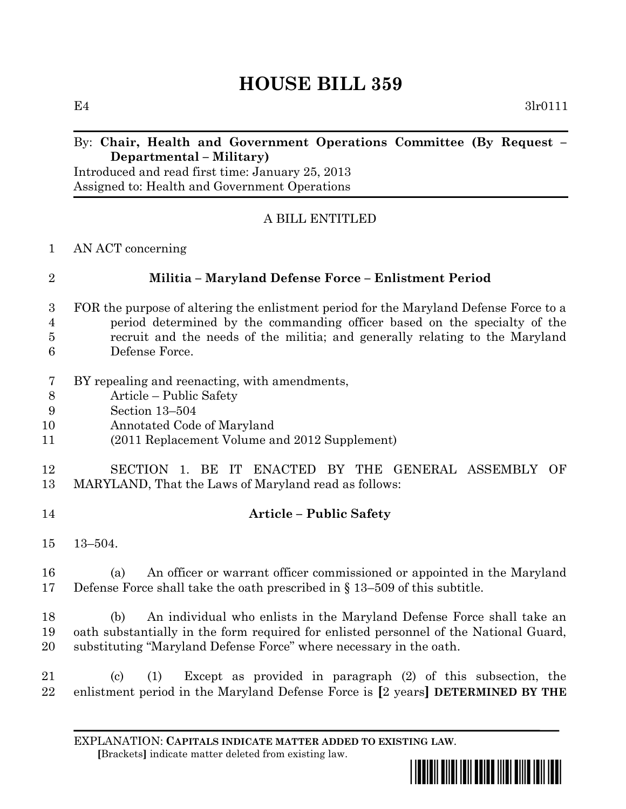# **HOUSE BILL 359**

 $E4$  3lr0111

#### By: **Chair, Health and Government Operations Committee (By Request – Departmental – Military)**

Introduced and read first time: January 25, 2013 Assigned to: Health and Government Operations

### A BILL ENTITLED

#### AN ACT concerning

## **Militia – Maryland Defense Force – Enlistment Period**

- FOR the purpose of altering the enlistment period for the Maryland Defense Force to a period determined by the commanding officer based on the specialty of the recruit and the needs of the militia; and generally relating to the Maryland Defense Force.
- BY repealing and reenacting, with amendments,
- Article Public Safety
- Section 13–504
- Annotated Code of Maryland
- (2011 Replacement Volume and 2012 Supplement)

### SECTION 1. BE IT ENACTED BY THE GENERAL ASSEMBLY OF MARYLAND, That the Laws of Maryland read as follows:

- **Article – Public Safety**
- 13–504.

 (a) An officer or warrant officer commissioned or appointed in the Maryland Defense Force shall take the oath prescribed in § 13–509 of this subtitle.

 (b) An individual who enlists in the Maryland Defense Force shall take an oath substantially in the form required for enlisted personnel of the National Guard, substituting "Maryland Defense Force" where necessary in the oath.

 (c) (1) Except as provided in paragraph (2) of this subsection, the enlistment period in the Maryland Defense Force is **[**2 years**] DETERMINED BY THE** 

EXPLANATION: **CAPITALS INDICATE MATTER ADDED TO EXISTING LAW**.  **[**Brackets**]** indicate matter deleted from existing law.